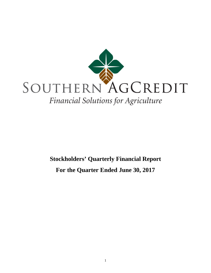

# **Stockholders' Quarterly Financial Report For the Quarter Ended June 30, 2017**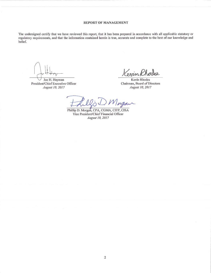#### REPORT OF MANAGEMENT

The undersigned certify that we have reviewed this report, that it has been prepared in accordance with all applicable statutory or regulatory requirements, and that the information contained herein is true, accurate and complete to the best of our knowledge and belief.

Joe H. Hayman President/Chief Executive Officer August 10, 2017

Venin Rho dop.

Kevin Rhodes Chairman, Board of Directors August 10, 2017

Magai

Phillip D. Morgan, CPA, CGMA, CITP, CISA Vice President/Chief Financial Officer August 10, 2017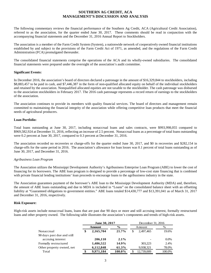## **SOUTHERN AG CREDIT, ACA MANAGEMENT'S DISCUSSION AND ANALYSIS**

The following commentary reviews the financial performance of the Southern Ag Credit, ACA (Agricultural Credit Association), referred to as the association, for the quarter ended June 30, 2017. These comments should be read in conjunction with the accompanying financial statements and the December 31, 2016 Annual Report to Stockholders.

The association is a member of the Farm Credit System (System), a nationwide network of cooperatively owned financial institutions established by and subject to the provisions of the Farm Credit Act of 1971, as amended, and the regulations of the Farm Credit Administration (FCA) promulgated thereunder.

The consolidated financial statements comprise the operations of the ACA and its wholly-owned subsidiaries. The consolidated financial statements were prepared under the oversight of the association's audit committee.

#### **Significant Events:**

In December 2016, the association's board of directors declared a patronage in the amount of \$16,329,844 to stockholders, including \$8,883,457 to be paid in cash, and \$7,446,387 in the form of non-qualified allocated equity on behalf of the individual stockholders and retained by the association. Nonqualified allocated equities are not taxable to the stockholder. The cash patronage was disbursed to the association stockholders in February 2017. The 2016 cash patronage represents a record return of earnings to the stockholders of the association.

The association continues to provide its members with quality financial services. The board of directors and management remain committed to maintaining the financial integrity of the association while offering competitive loan products that meet the financial needs of agricultural producers.

#### **Loan Portfolio:**

Total loans outstanding at June 30, 2017, including nonaccrual loans and sales contracts, were \$993,998,055 compared to \$969,582,924 at December 31, 2016, reflecting an increase of 2.5 percent. Nonaccrual loans as a percentage of total loans outstanding were 0.2 percent at June 30, 2017, compared to 0.3 percent at December 31, 2016.

The association recorded no recoveries or charge-offs for the quarter ended June 30, 2017, and \$0 in recoveries and \$282,154 in charge-offs for the same period in 2016. The association's allowance for loan losses was 0.1 percent of total loans outstanding as of June 30, 2017, and December 31, 2016.

#### *Agribusiness Loan Program*

The Association utilizes the Mississippi Development Authority's Agribusiness Enterprise Loan Program (ABE) to lower the cost of financing for its borrowers. The ABE loan program is designed to provide a percentage of low-cost state financing that is combined with private financial lending institutions' loan proceeds to encourage loans to the agribusiness industry in the state.

The Association guarantees payment of the borrower's ABE loan to the Mississippi Development Authority (MDA) and, therefore, the amount of ABE loans outstanding and due to MDA is included in "Loans" on the consolidated balance sheet with an offsetting liability at "Guaranteed obligations to government entities." ABE loans totaled \$14,430,777 and \$13,391,041 as of March 31, 2017 and December 31, 2016, respectively.

#### **Risk Exposure:**

High-risk assets include nonaccrual loans, loans that are past due 90 days or more and still accruing interest, formally restructured loans and other property owned. The following table illustrates the association's components and trends of high-risk assets.

|                            | June 30, 2017   |               | December 31, 2016 |         |  |
|----------------------------|-----------------|---------------|-------------------|---------|--|
|                            | <b>Amount</b>   | $\frac{6}{9}$ | Amount            | %       |  |
| Nonaccrual                 | \$<br>2,165,704 | 21.7%         | \$<br>2.497.465   | 19.6%   |  |
| 90 days past due and still |                 |               |                   |         |  |
| accruing interest          | 206,110         | $2.1\%$       |                   | $0.0\%$ |  |
| Formally restructured      | 1,486,522       | 14.9%         | 303.223           | 2.4%    |  |
| Other property owned, net  | 6,112,848       | 61.3%         | 9,938,321         | 78.0%   |  |
| Total                      | 9,971,184       | 100.0%        | 12,739,009        | 100.0%  |  |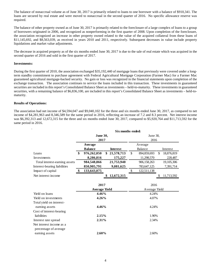The balance of nonaccrual volume as of June 30, 2017 is primarily related to loans to one borrower with a balance of \$910,341. The loans are secured by real estate and were moved to nonaccrual in the second quarter of 2016. No specific allowance reserve was required.

The balance of other property owned as of June 30, 2017 is primarily related to the foreclosure of a large complex of loans to a group of borrowers originated in 2006, and recognized as nonperforming in the first quarter of 2008. Upon completion of the foreclosure, the association recognized an increase in other property owned related to the value of the acquired collateral from these loans of \$11,145,692, and \$8,563,039, as received in years 2010 and 2011, respectively. Subsequent decreases in value include property liquidations and market value adjustments.

The decrease in acquired property as of the six months ended June 30, 2017 is due to the sale of real estate which was acquired in the second quarter of 2016 and sold in the first quarter of 2017.

#### **Investments:**

During the first quarter of 2010, the association exchanged \$35,192,440 of mortgage loans that previously were covered under a longterm standby commitment to purchase agreement with Federal Agricultural Mortgage Corporation (Farmer Mac) for a Farmer Mac guaranteed agricultural mortgage-backed security. No gain or loss was recognized in the financial statements upon completion of the exchange transaction. The association continues to service the loans included in this transaction. These investments in guaranteed securities are included in this report's Consolidated Balance Sheet as investments – held-to-maturity. These investments in guaranteed securities, with a remaining balance of \$6,836,100, are included in this report's Consolidated Balance Sheet as investments – held-tomaturity.

#### **Results of Operations:**

The association had net income of \$4,594,047 and \$9,040,102 for the three and six months ended June 30, 2017, as compared to net income of \$4,281,963 and 8,346,589 for the same period in 2016, reflecting an increase of 7.2 and 8.3 percent. Net interest income was \$6,392,313 and 12,672,315 for the three and six months ended June 30, 2017, compared to \$5,920,764 and \$11,713,592 for the same period in 2016.

|                               | Six months ended: |                      |    |                 |               |             |    |              |  |
|-------------------------------|-------------------|----------------------|----|-----------------|---------------|-------------|----|--------------|--|
|                               |                   | <b>June 30,</b>      |    |                 | June 30,      |             |    |              |  |
|                               |                   | 2017                 |    |                 |               | 2016        |    |              |  |
|                               |                   | Average              |    |                 |               | Average     |    |              |  |
|                               |                   | <b>Balance</b>       |    | <b>Interest</b> |               | Balance     |    | Interest     |  |
| Loans                         | \$                | 976,262,050          | \$ | 21,578,713      | \$            | 894,859,693 | \$ | 18,876,819   |  |
| Investments                   |                   | 8,286,816            |    | 175,227         |               | 11,298,570  |    | 228,487      |  |
| Total interest-earning assets |                   | 984,548,866          |    | 21,753,940      |               | 906,158,263 |    | 19, 105, 306 |  |
| Interest-bearing liabilities  |                   | 850,905,791          |    | 9,081,625       |               | 783,647,125 |    | 7,391,714    |  |
| Impact of capital             | \$                | 133,643,075          |    |                 | \$            | 122,511,138 |    |              |  |
| Net interest income           |                   |                      | \$ | 12,672,315      |               |             | S  | 11,713,592   |  |
|                               |                   |                      |    |                 |               |             |    |              |  |
|                               |                   | 2017                 |    |                 |               | 2016        |    |              |  |
|                               |                   | <b>Average Yield</b> |    |                 | Average Yield |             |    |              |  |
| Yield on loans                |                   | 4.46%                |    |                 | 4.24%         |             |    |              |  |
| Yield on investments          |                   | 4.26%                |    |                 |               | 4.07%       |    |              |  |
| Total yield on interest-      |                   |                      |    |                 |               |             |    |              |  |
| earning assets                |                   | 4.46%                |    |                 |               | 4.24%       |    |              |  |
| Cost of interest-bearing      |                   |                      |    |                 |               |             |    |              |  |
| liabilities                   |                   | 2.15%                |    |                 |               | 1.90%       |    |              |  |
| Interest rate spread          |                   | 2.31%                |    |                 |               | 2.34%       |    |              |  |
| Net interest income as a      |                   |                      |    |                 |               |             |    |              |  |
| percentage of average         |                   |                      |    |                 |               |             |    |              |  |
| earning assets                |                   | 2.60%                |    |                 |               | 2.60%       |    |              |  |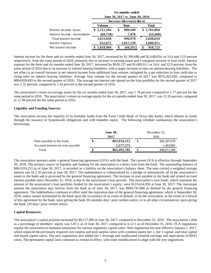|                               | Six months ended:<br>June 30, 2017 vs. June 30, 2016 |                            |              |  |  |  |  |  |  |
|-------------------------------|------------------------------------------------------|----------------------------|--------------|--|--|--|--|--|--|
|                               |                                                      | Increase (decrease) due to |              |  |  |  |  |  |  |
|                               | Volume                                               | Rate                       | <b>Total</b> |  |  |  |  |  |  |
| Interest income - loans       | \$1,712,394                                          | 989,500<br>\$              | \$2,701,894  |  |  |  |  |  |  |
| Interest income - investments | (60, 738)                                            | 7,478                      | (53,260)     |  |  |  |  |  |  |
| Total interest income         | 1,651,656                                            | 996,978                    | 2,648,634    |  |  |  |  |  |  |
| Interest expense              | 632,672                                              | 1,057,239                  | 1,689,911    |  |  |  |  |  |  |
| Net interest income           | 1,018,984                                            | (60,261)                   | 958,723      |  |  |  |  |  |  |

Interest income for the three and six months ended June 30, 2017, increased by \$1,399,686 and \$2,648,634, or 14.4 and 13.9 percent respectively, from the same period of 2016, primarily due to increase in earning assets and a marginal increase in loan yield. Interest expense for the three and six months ended June 30, 2017, increased by \$928,137 and \$1,689,911, or 24.6 and 22.9 percent, from the same period of 2016 due to an increase in interest bearing liabilities, with a larger increase in rates on interest-bearing liabilities. The net effect is an overall increase in net interest income from additional loan volume, mitigated by a net reduction in loan yield due to rising rates on interest bearing liabilities. Average loan volume for the second quarter of 2017 was \$976,262,050, compared to \$894,859,693 in the second quarter of 2016. The average net interest rate spread on the loan portfolio for the second quarter of 2017 was 2.31 percent, compared to 2.34 percent in the second quarter of 2016.

The association's return on average assets for the six months ended June 30, 2017, was 1.78 percent compared to 1.77 percent for the same period in 2016. The association's return on average equity for the six months ended June 30, 2017, was 12.26 percent, compared to 11.98 percent for the same period in 2016.

#### **Liquidity and Funding Sources:**

The association secures the majority of its lendable funds from the Farm Credit Bank of Texas (the bank), which obtains its funds through the issuance of Systemwide obligations and with lendable equity. The following schedule summarizes the association's borrowings.

|                                  | <b>June 30,</b> |      | December 31, |  |
|----------------------------------|-----------------|------|--------------|--|
|                                  | 2017            | 2016 |              |  |
| Note payable to the bank         | 863,916,212     |      | 845,207,678  |  |
| Accrued interest on note payable | 1,577,573       |      | 1,463,902    |  |
| Total                            | 865,493,785     |      | 846,671,580  |  |

The association operates under a general financing agreement (GFA) with the bank. The current GFA is effective through September 30, 2018. The primary source of liquidity and funding for the association is a direct loan from the bank. The outstanding balance of \$863,916,212 as of June 30, 2017, is recorded as a liability on the association's balance sheet. The note carried a weighted average interest rate of 2.20 percent at June 30, 2017. The indebtedness is collateralized by a pledge of substantially all of the association's assets to the bank and is governed by the general financing agreement. The increase in note payable to the bank and related accrued interest payable since December 31, 2016, is due to the association's loan growth.. The association's own funds, which represent the amount of the association's loan portfolio funded by the association's equity, were \$119,414,950 at June 30, 2017. The maximum amount the association may borrow from the bank as of June 30, 2017, was \$984,741,080 as defined by the general financing agreement. The indebtedness continues in effect until the expiration date of the general financing agreement, which is September 30, 2018, unless sooner terminated by the bank upon the occurrence of an event of default, or by the association, in the event of a breach of this agreement by the bank, upon giving the bank 30 calendar days' prior written notice, or in all other circumstances, upon giving the bank 120 days' prior written notice.

#### **Capital Resources:**

The association's capital position increased by \$9,117,989 at June 30, 2017, compared to December 31, 2016. The association's debt as a percentage of members' equity was 5.81:1 as of June 30, 2017, compared to 6.12:1 as of December 31, 2016. FCA regulations require the association to maintain minimums for various regulatory capital ratios. New regulations became effective January 1, 2017, which replaced the previously required core surplus and total surplus ratios with common equity tier 1, tier 1 capital, and total capital risk-based capital ratios. The new regulations also added tier 1 leverage and unallocated retained earnings and equivalents (UREE) ratios. The permanent capital ratio continues to remain in effect, with some modifications to align with the new regulations.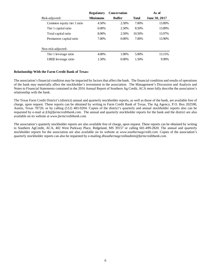|                            | <b>Regulatory</b> | <b>Conservation</b> |              | As of         |
|----------------------------|-------------------|---------------------|--------------|---------------|
| Risk-adjusted:             | Minimums          | <b>Buffer</b>       | <b>Total</b> | June 30, 2017 |
| Common equity tier 1 ratio | 4.50%             | 2.50%               | 7.00%        | 13.89%        |
| Tier 1 capital ratio       | $6.00\%$          | 2.50%               | 8.50%        | 13.89%        |
| Total capital ratio        | 8.00%             | 2.50%               | 10.50%       | 13.97%        |
| Permanent capital ratio    | 7.00%             | $0.00\%$            | 7.00%        | 13.90%        |
| Non-risk-adjusted:         |                   |                     |              |               |
| Tier 1 leverage ratio      | 4.00%             | 1.00%               | 5.00%        | 13.15%        |
| UREE leverage ratio        | 1.50%             | $0.00\%$            | 1.50%        | 9.99%         |
|                            |                   |                     |              |               |

#### **Relationship With the Farm Credit Bank of Texas:**

The association's financial condition may be impacted by factors that affect the bank. The financial condition and results of operations of the bank may materially affect the stockholder's investment in the association. The Management's Discussion and Analysis and Notes to Financial Statements contained in the 2016 Annual Report of Southern Ag Credit, ACA more fully describe the association's relationship with the bank.

The Texas Farm Credit District's (district) annual and quarterly stockholder reports, as well as those of the bank, are available free of charge, upon request. These reports can be obtained by writing to Farm Credit Bank of Texas, The Ag Agency, P.O. Box 202590, Austin, Texas 78720, or by calling (512) 483-9204. Copies of the district's quarterly and annual stockholder reports also can be requested by e-mail at *fcb@farmcreditbank.com*[.](mailto:ktankersley@farmcreditbank.com) The annual and quarterly stockholder reports for the bank and the district are also available on its website at *www.farmcreditbank.com.*

The association's quarterly stockholder reports are also available free of charge, upon request. These reports can be obtained by writing to Southern AgCredit, ACA, 402 West Parkway Place, Ridgeland, MS 39157 or calling 601-499-2820. The annual and quarterly stockholder reports for the association are also available on its website at *www.southernagcredit.com.* Copies of the association's quarterly stockholder reports can also be requested by e-mailing *dlsouthernagcreditadmin@farmcreditbank.com.*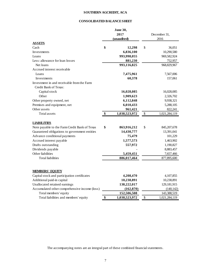## **SOUTHERN AGCREDIT, ACA**

## **CONSOLIDATED BALANCE SHEET**

|                                               | <b>June 30,</b>     |                     |
|-----------------------------------------------|---------------------|---------------------|
|                                               | 2017                | December 31,        |
|                                               | (unaudited)         | 2016                |
| <b>ASSETS</b>                                 |                     |                     |
| Cash                                          | \$<br>12,298        | \$<br>36,051        |
| Investments                                   | 6,836,100           | 10,290,580          |
| Loans                                         | 993,998,055         | 969,582,924         |
| Less: allowance for loan losses               | 881,230             | 752,957             |
| Net loans                                     | 993,116,825         | 968,829,967         |
| Accrued interest receivable                   |                     |                     |
| Loans                                         | 7,475,961           | 7,567,006           |
| Investments                                   | 60,378              | 157,061             |
| Investment in and receivable from the Farm    |                     |                     |
| Credit Bank of Texas:                         |                     |                     |
| Capital stock                                 | 16,028,085          | 16,028,085          |
| Other                                         | 1,909,623           | 2,326,702           |
| Other property owned, net                     | 6,112,848           | 9,938,321           |
| Premises and equipment, net                   | 6,010,433           | 5,288,105           |
| Other assets                                  | 961,421             | 822,241             |
| Total assets                                  | \$<br>1,038,523,972 | \$<br>1,021,284,119 |
|                                               |                     |                     |
| <b>LIABILITIES</b>                            |                     |                     |
| Note payable to the Farm Credit Bank of Texas | \$<br>863,916,212   | \$<br>845,207,678   |
| Guaranteed obligations to government entities | 14,430,777          | 13,391,041          |
| Advance conditional payments                  | 75,479              | 101,229             |
| Accrued interest payable                      | 1,577,573           | 1,463,902           |
| Drafts outstanding                            | 557,972             | 1,190,827           |
| Dividends payable                             |                     | 8,883,457           |
| Other liabilities                             | 5,459,451           | 7,657,466           |
| <b>Total liabilities</b>                      | 886,017,464         | 877,895,600         |
|                                               |                     |                     |
|                                               |                     |                     |
| <b>MEMBERS' EQUITY</b>                        |                     |                     |
| Capital stock and participation certificates  | 4,208,470           | 4,107,855           |
| Additional paid-in capital                    | 10,238,891          | 10,238,891          |
| Unallocated retained earnings                 | 138,222,017         | 129, 181, 915       |
| Accumulated other comprehensive income (loss) | (162, 870)          | (140, 142)          |
| Total members' equity                         | 152,506,508         | 143,388,519         |
| Total liabilities and members' equity         | \$<br>1,038,523,972 | \$<br>1,021,284,119 |

The accompanying notes are an integral part of these combined financial statements.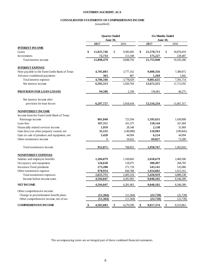#### **SOUTHERN AGCREDIT, ACA**

#### **CONSOLIDATED STATEMENTS OF COMPREHENSIVE INCOME**

(unaudited)

|                                               | <b>Quarter Ended</b> |                 |           | <b>Six Months Ended</b> |                 |    |            |
|-----------------------------------------------|----------------------|-----------------|-----------|-------------------------|-----------------|----|------------|
|                                               |                      | <b>June 30,</b> |           |                         | <b>June 30,</b> |    |            |
|                                               | 2017                 |                 | 2016      |                         | 2017            |    | 2016       |
| <b>INTEREST INCOME</b>                        |                      |                 |           |                         |                 |    |            |
| Loans                                         | \$<br>11,025,746     | \$              | 9,585,685 | \$                      | 21,578,713      | \$ | 18,876,819 |
| Investments                                   | 72,733               |                 | 113,108   |                         | 175,227         |    | 228,487    |
| Total interest income                         | 11,098,479           |                 | 9.698.793 |                         | 21,753,940      |    | 19,105,306 |
| <b>INTEREST EXPENSE</b>                       |                      |                 |           |                         |                 |    |            |
| Note payable to the Farm Credit Bank of Texas | 4,705,803            |                 | 3,777,162 |                         | 9,080,356       |    | 7,389,872  |
| Advance conditional payments                  | 363                  |                 | 867       |                         | 1,269           |    | 1,842      |
| Total interest expense                        | 4,706,166            |                 | 3,778,029 |                         | 9,081,625       |    | 7,391,714  |
| Net interest income                           | 6,392,313            |                 | 5,920,764 |                         | 12,672,315      |    | 11,713,592 |
| PROVISION FOR LOAN LOSSES                     | 94,586               |                 | 2,330     |                         | 156,061         |    | 46,275     |
| Net interest income after                     |                      |                 |           |                         |                 |    |            |
| provision for loan losses                     | 6,297,727            |                 | 5,918,434 |                         | 12,516,254      |    | 11,667,317 |
| <b>NONINTEREST INCOME</b>                     |                      |                 |           |                         |                 |    |            |
| Income from the Farm Credit Bank of Texas:    |                      |                 |           |                         |                 |    |            |
| Patronage income                              | 801,840              |                 | 723,594   |                         | 1,595,631       |    | 1,439,899  |
| Loan fees                                     | 107,311              |                 | 101,375   |                         | 158,144         |    | 167,404    |
| Financially related services income           | 1,959                |                 | 28,548    |                         | 2,138           |    | 31,069     |
| Gain (loss) on other property owned, net      | 35,532               |                 | (149,080) |                         | 118,903         |    | (190, 845) |
| Gain on sale of premises and equipment, net   | 5,428                |                 | 44,994    |                         | 6,124           |    | 44,994     |
| Other noninterest income                      | 1                    |                 | 19,422    |                         | 69,827          |    | 73,289     |
| Total noninterest income                      | 952,071              |                 | 768,853   |                         | 1,950,767       |    | 1,565,810  |
| <b>NONINTEREST EXPENSES</b>                   |                      |                 |           |                         |                 |    |            |
| Salaries and employee benefits                | 1,284,879            |                 | 1,169,843 |                         | 2,658,679       |    | 2,469,506  |
| Occupancy and equipment                       | 126,630              |                 | 118,975   |                         | 300,497         |    | 268,785    |
| Insurance Fund premiums                       | 273,288              |                 | 271,718   |                         | 543,141         |    | 535,086    |
| Other noninterest expense                     | 970,954              |                 | 844,788   |                         | 1,924,602       |    | 1,613,161  |
| Total noninterest expenses                    | 2,655,751            |                 | 2,405,324 |                         | 5,426,919       |    | 4,886,538  |
| Income before income taxes                    | 4,594,047            |                 | 4,281,963 |                         | 9,040,102       |    | 8,346,589  |
| <b>NET INCOME</b>                             | 4,594,047            |                 | 4,281,963 |                         | 9,040,102       |    | 8,346,589  |
| Other comprehensive income:                   |                      |                 |           |                         |                 |    |            |
| Change in postretirement benefit plans        | (11, 364)            |                 | (11, 364) |                         | (22, 728)       |    | (22, 728)  |
| Other comprehensive income, net of tax        | (11, 364)            |                 | (11, 364) |                         | (22, 728)       |    | (22, 728)  |
| <b>COMPREHENSIVE INCOME</b>                   | \$<br>4,582,683      | \$              | 4,270,599 | \$                      | 9,017,374       | \$ | 8,323,861  |

The accompanying notes are an integral part of these combined financial statements.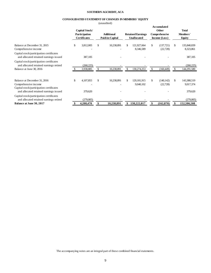#### **SOUTHERN AGCREDIT, ACA**

#### **CONSOLIDATED STATEMENT OF CHANGES IN MEMBERS' EQUITY**

(unaudited)

|                                                                                                                                            |                                                        | $($ unuuuncu                         |                                                |              |                                                                      |                                           |
|--------------------------------------------------------------------------------------------------------------------------------------------|--------------------------------------------------------|--------------------------------------|------------------------------------------------|--------------|----------------------------------------------------------------------|-------------------------------------------|
|                                                                                                                                            | Capital Stock/<br>Participation<br><b>Certificates</b> | <b>Additional</b><br>Paid-in-Capital | <b>Retained Earnings</b><br><b>Unallocated</b> |              | <b>Accumulated</b><br><b>Other</b><br>Comprehensive<br>Income (Loss) | Total<br>Members'<br>Equity               |
| Balance at December 31, 2015<br>Comprehensive income                                                                                       | \$<br>3,812,005                                        | \$<br>10,238,891                     | \$<br>121,927,664<br>8,346,589                 | \$           | (137, 721)<br>(22, 728)                                              | \$<br>135,840,839<br>8,323,861            |
| Capital stock/participation certificates<br>and allocated retained earnings issued                                                         | 387,105                                                |                                      |                                                |              |                                                                      | 387,105                                   |
| Capital stock/participation certificates<br>and allocated retained earnings retired<br>Balance at June 30, 2016                            | (260, 225)<br>3,938,885                                | \$<br>10,238,891                     | \$<br>130,274,253                              | \$           | (160, 449)                                                           | (260, 225)<br>144,291,580                 |
| Balance at December 31, 2016<br>Comprehensive income<br>Capital stock/participation certificates<br>and allocated retained earnings issued | \$<br>4,107,855<br>379,620                             | \$<br>10,238,891                     | \$<br>129, 181, 915<br>9,040,102               | $\mathbb{S}$ | (140, 142)<br>(22, 728)                                              | \$<br>143,388,519<br>9,017,374<br>379,620 |
| Capital stock/participation certificates<br>and allocated retained earnings retired<br>Balance at June 30, 2017                            | (279,005)<br>4,208,470                                 | 10,238,891                           | 138,222,017                                    | \$           | (162, 870)                                                           | (279,005)<br>152,506,508                  |

The accompanying notes are an integral part of these combined financial statements.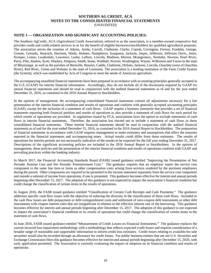# **SOUTHERN AG CREDIT, ACA NOTES TO THE CONSOLIDATED FINANCIAL STATEMENTS**

(UNAUDITED)

### **NOTE 1 — ORGANIZATION AND SIGNIFICANT ACCOUNTING POLICIES:**

The Southern AgCredit, ACA (Agricultural Credit Association), referred to as the association, is a member-owned cooperative that provides credit and credit-related services to or for the benefit of eligible borrowers/stockholders for qualified agricultural purposes. The association serves the counties of Adams, Amite, Carroll, Claiborne, Clarke, Copiah, Covington, Forrest, Franklin, George, Greene, Grenada, Hancock, Harrison, Hinds, Holmes, Humphreys, Issaquena, Jackson, Jasper, Jefferson, Jefferson Davis, Jones, Kemper, Lamar, Lauderdale, Lawrence, Leake, Leflore, Lincoln, Madison, Marion, Montgomery, Neshoba, Newton, Pearl River, Perry, Pike, Rankin, Scott, Sharkey, Simpson, Smith, Stone, Walthall, Warren, Washington, Wayne, Wilkinson and Yazoo in the state of Mississippi, as well as the parishes of Bienville, Bossier, Caddo, Claiborne, DeSoto, Jackson, Lincoln, Ouachita (west of Ouachita River), Red River, Union and Webster in the state of Louisiana. The association is a lending institution of the Farm Credit System (the System), which was established by Acts of Congress to meet the needs of American agriculture.

The accompanying unaudited financial statements have been prepared in accordance with accounting principles generally accepted in the U.S. (GAAP) for interim financial information. Accordingly, they do not include all of the disclosures required by GAAP for annual financial statements and should be read in conjunction with the audited financial statements as of and for the year ended December 31, 2016, as contained in the 2016 Annual Report to Stockholders.

In the opinion of management, the accompanying consolidated financial statements contain all adjustments necessary for a fair presentation of the interim financial condition and results of operations and conform with generally accepted accounting principles (GAAP), except for the inclusion of a statement of cash flows. GAAP require a business enterprise that provides a set of financial statements reporting both financial position and results of operations to also provide a statement of cash flows for each period for which results of operations are provided. In regulations issued by FCA, associations have the option to exclude statements of cash flows in interim financial statements. Therefore, the association has elected not to include a statement of cash flows in these consolidated financial statements. These interim financial statements should be read in conjunction with the audited financial statements as of and for the year ended December 31, 2016, as contained in the 2016 Annual Report to Stockholders. The preparation of financial statements in accordance with GAAP requires management to make estimates and assumptions that affect the amounts reported in the financial statements and accompanying notes. Actual results could differ from those estimates. The results of operations for interim periods are not necessarily indicative of the results to be expected for the full year ending December 31, 2017. Descriptions of the significant accounting policies are included in the 2016 Annual Report to Stockholders. In the opinion of management, these policies and the presentation of the interim financial condition and results of operations conform with GAAP and prevailing practices within the banking industry.

In March 2017, the Financial Accounting Standards Board (FASB) issued guidance entitled "Improving the Presentation of Net Periodic Pension Cost and Net Periodic Postretirement Cost." The guidance requires that an employer report the service cost component in the same line item or items as other compensation costs arising from services rendered by the pertinent employees during the period. Other components are required to be presented in the income statement separately from the service cost component and outside a subtotal of income from operations, if one is presented. This guidance becomes effective for interim and annual periods beginning after December 15, 2017. The adoption of this guidance is not expected to impact the association's financial condition but could change the classification of certain items in the results of operations.

In August 2016, the FASB issued guidance entitled "Classification of Certain Cash Receipts and Cash Payments." The guidance addresses specific cash flow issues with the objective of reducing the diversity in the classification of these cash flows. Included in the cash flow issues are debt prepayment or debt extinguishment costs and settlement of zero-coupon debt instruments or other debt instruments with coupon interest rates that are insignificant in relation to the effective interest rate of the borrowing. This guidance becomes effective for interim and annual periods beginning after December 15, 2017. The adoption of this guidance is not expected to impact the association's financial condition or its results of operations but could change the classification of certain items in the statement of cash flows.

In June 2016, FASB issued guidance entitled "Measurement of Credit Losses on Financial Instruments." The guidance replaces the current incurred loss impairment methodology with a methodology that reflects expected credit losses and requires consideration of a broader range of reasonable and supportable information to inform credit loss estimates. Credit losses relating to available-for-sale securities would also be recorded through an allowance for credit losses. For public business entities that are not U.S. Securities and Exchange Commission filers this guidance becomes effective for interim and annual periods beginning after December 15, 2020, with early application permitted. The Association is currently evaluating the impact of adoption on its financial condition and results of operations.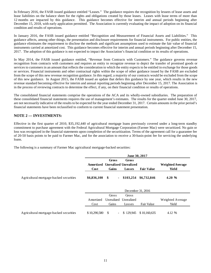In February 2016, the FASB issued guidance entitled "Leases." The guidance requires the recognition by lessees of lease assets and lease liabilities on the balance sheet for the rights and obligations created by those leases. Leases with lease terms of more than 12 months are impacted by this guidance. This guidance becomes effective for interim and annual periods beginning after December 15, 2018, with early application permitted. The Association is currently evaluating the impact of adoption on its financial condition and results of operations.

In January 2016, the FASB issued guidance entitled "Recognition and Measurement of Financial Assets and Liabilities." This guidance affects, among other things, the presentation and disclosure requirements for financial instruments. For public entities, the guidance eliminates the requirement to disclose the methods and significant assumptions used to estimate the fair value of financial instruments carried at amortized cost. This guidance becomes effective for interim and annual periods beginning after December 15, 2017. The adoption of this guidance is not expected to impact the Association's financial condition or its results of operations.

In May 2014, the FASB issued guidance entitled, "Revenue from Contracts with Customers." The guidance governs revenue recognition from contracts with customers and requires an entity to recognize revenue to depict the transfer of promised goods or services to customers in an amount that reflects the consideration to which the entity expects to be entitled in exchange for those goods or services. Financial instruments and other contractual rights within the scope of other guidance issued by the FASB are excluded from the scope of this new revenue recognition guidance. In this regard, a majority of our contracts would be excluded from the scope of this new guidance. In August 2015, the FASB issued an update that defers this guidance by one year, which results in the new revenue standard becoming effective for interim and annual reporting periods beginning after December 15, 2017. The Association is in the process of reviewing contracts to determine the effect, if any, on their financial condition or results of operations.

The consolidated financial statements comprise the operations of the ACA and its wholly-owned subsidiaries. The preparation of these consolidated financial statements requires the use of management's estimates. The results for the quarter ended June 30, 2017, are not necessarily indicative of the results to be expected for the year ended December 31, 2017. Certain amounts in the prior period's financial statements have been reclassified to conform to current financial statement presentation.

## **NOTE 2 — INVESTMENTS:**

Effective in the first quarter of 2010, \$35,192,440 of agricultural mortgage loans previously covered under a long-term standby commitment to purchase agreement with the Federal Agricultural Mortgage Corporation (Farmer Mac) were securitized. No gain or loss was recognized in the financial statements upon completion of the securitization. Terms of the agreement call for a guarantee fee of 20-50 basis points to be paid to Farmer Mac, and for the association to receive a 30-basis-point fee for servicing the underlying loans.

The following is a summary of Farmer Mac agricultural mortgage-backed securities:

|                                         | June 30, 2017 |       |                                 |                       |                         |  |  |  |  |  |
|-----------------------------------------|---------------|-------|---------------------------------|-----------------------|-------------------------|--|--|--|--|--|
|                                         |               | Gross | Gross                           |                       |                         |  |  |  |  |  |
|                                         |               |       | Amortized Unrealized Unrealized |                       | <b>Weighted Average</b> |  |  |  |  |  |
|                                         | Cost          | Gains | Losses                          | <b>Fair Value</b>     | Yield                   |  |  |  |  |  |
| Agricultural mortgage-backed securities | \$6,836,100   | - \$  | ٠                               | \$103,254 \$6,732,846 | 4.20%                   |  |  |  |  |  |

|                                         | December 31, 2016 |       |                       |                              |                  |  |  |  |  |  |
|-----------------------------------------|-------------------|-------|-----------------------|------------------------------|------------------|--|--|--|--|--|
|                                         |                   | Gross | Gross                 |                              |                  |  |  |  |  |  |
|                                         | Amortized         |       | Unrealized Unrealized |                              | Weighted Average |  |  |  |  |  |
|                                         | Cost              | Gains | Losses                | Fair Value                   | Yield            |  |  |  |  |  |
|                                         |                   |       |                       |                              |                  |  |  |  |  |  |
| Agricultural mortgage-backed securities | \$10,290,580      | - \$  |                       | $-$ \$ 129,945 \$ 10,160,635 | 4.12 %           |  |  |  |  |  |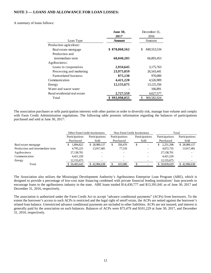## **NOTE 3 — LOANS AND ALLOWANCE FOR LOAN LOSSES:**

#### A summary of loans follows:

|                               | <b>June 30,</b><br>2017 | December 31.<br>2016 |  |  |
|-------------------------------|-------------------------|----------------------|--|--|
| Loan Type                     | <b>Amount</b>           | Amount               |  |  |
| Production agriculture:       |                         |                      |  |  |
| Real estate mortgage          | 878,868,562<br>\$       | 849,553,534<br>\$    |  |  |
| Production and                |                         |                      |  |  |
| intermediate term             | 68,040,205              | 66,893,453           |  |  |
| Agribusiness:                 |                         |                      |  |  |
| Loans to cooperatives         | 2,934,645               | 3,175,763            |  |  |
| Processing and marketing      | 23,975,059              | 26,543,441           |  |  |
| Farm-related business         | 875,130                 | 970,000              |  |  |
| Communication                 | 4,421,220               | 4,526,909            |  |  |
| Energy                        | 12,155,675              | 13,125,356           |  |  |
| Water and waste water         |                         | 166,891              |  |  |
| Rural residential real estate | 2,727,559               | 4,627,577            |  |  |
| Total                         | 993.998.055             | 969,582,924          |  |  |

The association purchases or sells participation interests with other parties in order to diversify risk, manage loan volume and comply with Farm Credit Administration regulations. The following table presents information regarding the balances of participations purchased and sold at June 30, 2017:

|                                  |                | <b>Other Farm Credit Institutions</b> | Non-Farm Credit Institutions |         |                        |  | Total          |                |
|----------------------------------|----------------|---------------------------------------|------------------------------|---------|------------------------|--|----------------|----------------|
|                                  | Participations | Participations                        | Participations<br>Purchased  |         | Participations<br>Sold |  | Participations | Participations |
|                                  | Purchased      | Sold                                  |                              |         |                        |  | Purchased      | Sold           |
| Real estate mortgage             | .894.822       | \$28,989,157                          | S                            | 356,476 | \$                     |  | 2,251,298      | \$28,989,157   |
| Production and intermediate term | 4,795,225      | 13,917,481                            |                              | 77,510  |                        |  | 4,872,735      | 13,917,481     |
| Agribusiness                     | 27,138,701     |                                       |                              |         |                        |  | 27,138,701     |                |
| Communication                    | 4.421.220      |                                       |                              |         |                        |  | 4.421.220      |                |
| Energy                           | 12, 155, 675   |                                       |                              |         |                        |  | 12, 155, 675   |                |
| Total                            | \$50,405,643   | \$42,906,638                          |                              | 433,986 |                        |  | \$50,839,629   | \$42,906,638   |

The Association also utilizes the Mississippi Development Authority's Agribusiness Enterprise Loan Program (ABE), which is designed to provide a percentage of low-cost state financing combined with private financial lending institutions' loan proceeds to encourage loans to the agribusiness industry in the state. ABE loans totaled \$14,430,777 and \$13,391,041 as of June 30, 2017 and December 31, 2016, respectively.

The association is authorized under the Farm Credit Act to accept "advance conditional payments" (ACPs) from borrowers. To the extent the borrower's access to such ACPs is restricted and the legal right of setoff exists, the ACPs are netted against the borrower's related loan balance. Unrestricted advance conditional payments are included in other liabilities. ACPs are not insured, and interest is generally paid by the association on such balances. Balances of ACPs were \$75,479 and \$101,229 at June 30, 2017, and December 31, 2016, respectively.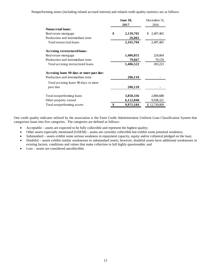Nonperforming assets (including related accrued interest) and related credit quality statistics are as follows:

|                                          | <b>June 30,</b> | December 31.     |  |  |
|------------------------------------------|-----------------|------------------|--|--|
|                                          | 2017            | 2016             |  |  |
| <b>Nonaccrual loans:</b>                 |                 |                  |  |  |
| Real estate mortgage                     | \$<br>2,139,702 | 2,497,465<br>\$. |  |  |
| Production and intermediate term         | 26,002          |                  |  |  |
| Total nonaccrual loans                   | 2,165,704       | 2,497,465        |  |  |
| Accruing restructured loans:             |                 |                  |  |  |
| Real estate mortgage                     | 1,406,855       | 224,064          |  |  |
| Production and intermediate term         | 79,667          | 79,159           |  |  |
| Total accruing restructured loans        | 1,486,522       | 303,223          |  |  |
| Accruing loans 90 days or more past due: |                 |                  |  |  |
| Production and intermediate term         | 206,110         |                  |  |  |
| Total accruing loans 90 days or more     |                 |                  |  |  |
| past due                                 | 206,110         |                  |  |  |
| Total nonperforming loans                | 3,858,336       | 2,800,688        |  |  |
| Other property owned                     | 6,112,848       | 9,938,321        |  |  |
| Total nonperforming assets               | 9,971,184       | \$12,739,009     |  |  |

One credit quality indicator utilized by the association is the Farm Credit Administration Uniform Loan Classification System that categorizes loans into five categories. The categories are defined as follows:

- Acceptable assets are expected to be fully collectible and represent the highest quality;
- Other assets especially mentioned (OAEM) assets are currently collectible but exhibit some potential weakness;
- Substandard assets exhibit some serious weakness in repayment capacity, equity and/or collateral pledged on the loan;
- Doubtful assets exhibit similar weaknesses to substandard assets; however, doubtful assets have additional weaknesses in existing factors, conditions and values that make collection in full highly questionable; and
- Loss assets are considered uncollectible.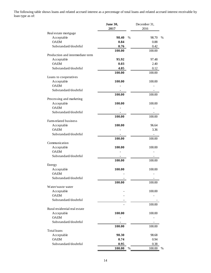The following table shows loans and related accrued interest as a percentage of total loans and related accrued interest receivable by loan type as of:

|                                  | June 30,<br>2017 | December 31,<br>2016 |
|----------------------------------|------------------|----------------------|
| Real estate mortgage             |                  |                      |
| Acceptable                       | 98.40<br>$\%$    | 98.70<br>$\%$        |
| <b>OAEM</b>                      | 0.84             | 0.88                 |
| Substandard/doubtful             | 0.76             | 0.42                 |
|                                  | 100.00           | 100.00               |
| Production and intermediate term |                  |                      |
| Acceptable                       | 95.92            | 97.48                |
| <b>OAEM</b>                      | 0.03             | 2.40                 |
| Substandard/doubtful             | 4.05             | 0.12                 |
|                                  | 100.00           | 100.00               |
| Loans to cooperatives            |                  |                      |
| Acceptable                       | 100.00           | 100.00               |
| <b>OAEM</b>                      |                  |                      |
| Substandard/doubtful             |                  |                      |
|                                  | 100.00           | 100.00               |
| Processing and marketing         |                  |                      |
| Acceptable                       | 100.00           | 100.00               |
| <b>OAEM</b>                      |                  |                      |
| Substandard/doubtful             |                  |                      |
|                                  | 100.00           | 100.00               |
| Farm-related business            |                  |                      |
| Acceptable                       | 100.00           | 96.64                |
| <b>OAEM</b>                      |                  | 3.36                 |
| Substandard/doubtful             |                  |                      |
|                                  | 100.00           | 100.00               |
| Communication                    |                  |                      |
| Acceptable                       | 100.00           | 100.00               |
| <b>OAEM</b>                      |                  |                      |
| Substandard/doubtful             |                  |                      |
|                                  | 100.00           | 100.00               |
| Energy                           |                  |                      |
| Acceptable                       | 100.00           | 100.00               |
| <b>OAEM</b>                      |                  |                      |
| Substandard/doubtful             |                  |                      |
|                                  | 100.00           | 100.00               |
| Water/waste water                |                  |                      |
| Acceptable                       |                  | 100.00               |
| <b>OAEM</b>                      |                  |                      |
| Substandard/doubtful             |                  |                      |
|                                  |                  | 100.00               |
| Rural residential real estate    |                  |                      |
| Acceptable                       | 100.00           | 100.00               |
| <b>OAEM</b>                      |                  |                      |
| Substandard/doubtful             |                  |                      |
|                                  | 100.00           | 100.00               |
| Total loans                      |                  |                      |
| Acceptable                       | 98.30            | 98.68                |
| <b>OAEM</b>                      | 0.74             | 0.94                 |
| Substandard/doubtful             | 0.95             | 0.38                 |
|                                  | 100.00<br>$\%$   | 100.00<br>%          |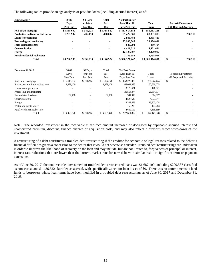The following tables provide an age analysis of past due loans (including accrued interest) as of:

| June 30, 2017<br>Real estate mortgage   | 30-89<br><b>Days</b><br><b>Past Due</b><br>\$3,588,607 | 90 Days<br>or More<br><b>Past Due</b><br>\$149,925 | <b>Total</b><br>Past<br><b>Due</b><br>\$3,738,532 | <b>Not Past Due or</b><br><b>Less Than 30</b><br><b>Days Past Due</b><br>\$881,614,684 | <b>Total</b><br>Loans<br>885, 353, 216 | <b>Recorded Investment</b><br>>90 Days and Accruing<br>\$ |
|-----------------------------------------|--------------------------------------------------------|----------------------------------------------------|---------------------------------------------------|----------------------------------------------------------------------------------------|----------------------------------------|-----------------------------------------------------------|
| <b>Production and intermediate term</b> | 1,201,932                                              | 206,110                                            | 1,408,042                                         | 67,422,961                                                                             | 68,831,003                             | 206,110                                                   |
| Loans to cooperatives                   |                                                        |                                                    |                                                   | 2,935,483                                                                              | 2,935,483                              |                                                           |
| Processing and marketing                |                                                        |                                                    |                                                   | 23,986,046                                                                             | 23,986,046                             |                                                           |
| <b>Farm-related business</b>            |                                                        |                                                    |                                                   | 880,794                                                                                | 880,794                                |                                                           |
| Communication                           |                                                        |                                                    |                                                   | 4,421,611                                                                              | 4,421,611                              |                                                           |
| <b>Energy</b>                           |                                                        |                                                    |                                                   | 12,329,907                                                                             | 12,329,907                             |                                                           |
| Rural residential real estate           |                                                        |                                                    |                                                   | 2,735,956                                                                              | 2,735,956                              |                                                           |
| <b>Total</b>                            | \$4,790,539                                            | \$356,035                                          | \$5,146,574                                       | \$996,327,442                                                                          | \$1,001,474,016                        | 206,110<br>\$                                             |
| December 31, 2016                       | 30-89<br>Days<br>Past Due                              | 90 Days<br>or More<br>Past Due                     | Total<br>Past<br>Due                              | Not Past Due or<br>Less Than 30<br>Days Past Due                                       | Total<br>Loans                         | Recorded Investment<br>>90 Days and Accruing              |
| Real estate mortgage                    | 2,918,392<br>\$                                        | \$105,956                                          | \$<br>3,024,348                                   | 853,220,076<br>\$                                                                      | \$<br>856,244,424                      | \$                                                        |
| Production and intermediate term        | 1,478,420                                              |                                                    | 1,478,420                                         | 66,081,855                                                                             | 67,560,275                             |                                                           |
| Loans to cooperatives                   |                                                        |                                                    |                                                   | 3,176,621                                                                              | 3,176,621                              |                                                           |
| Processing and marketing                |                                                        |                                                    |                                                   | 26,554,374                                                                             | 26,554,374                             |                                                           |
| Farm-related business                   | 32,708                                                 |                                                    | 32,708                                            | 941,319                                                                                | 974,027                                |                                                           |
| Communication                           |                                                        |                                                    |                                                   | 4,527,647                                                                              | 4,527,647                              |                                                           |
| Energy                                  |                                                        |                                                    |                                                   | 13,303,478                                                                             | 13,303,478                             |                                                           |
| Water and waste water                   |                                                        |                                                    |                                                   | 167,283                                                                                | 167,283                                |                                                           |
| Rural residential real estate           |                                                        |                                                    |                                                   | 4,639,199                                                                              | 4,639,199                              |                                                           |
| Total                                   | 4,429,520                                              | 105,956<br>S                                       | 4,535,476<br>S.                                   | 972,611,852<br>S                                                                       | 977,147,328                            | \$.                                                       |

Note: The recorded investment in the receivable is the face amount increased or decreased by applicable accrued interest and unamortized premium, discount, finance charges or acquisition costs, and may also reflect a previous direct write-down of the investment.

A restructuring of a debt constitutes a troubled debt restructuring if the creditor for economic or legal reasons related to the debtor's financial difficulties grants a concession to the debtor that it would not otherwise consider. Troubled debt restructurings are undertaken in order to improve the likelihood of recovery on the loan and may include, but are not limited to, forgiveness of principal or interest, interest rate reductions that are lower than the current market rate for new debt with similar risk, or significant term or payment extensions.

As of June 30, 2017, the total recorded investment of troubled debt restructured loans was \$1,687,109, including \$200,587 classified as nonaccrual and \$1,486,522 classified as accrual, with specific allowance for loan losses of \$0. There was no commitments to lend funds to borrowers whose loan terms have been modified in a troubled debt restructurings as of June 30, 2017 and December 31, 2016.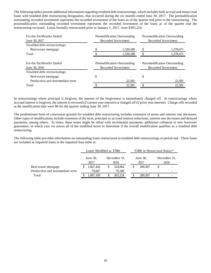The following tables present additional information regarding troubled debt restructurings, which includes both accrual and nonaccrual loans with troubled debt restructuring designation, that occurred during the six months ended June 30, 2017. The premodification outstanding recorded investment represents the recorded investment of the loans as of the quarter end prior to the restructuring. The postmodification outstanding recorded investment represents the recorded investment of the loans as of the quarter end the restructuring occurred. Loans formally restructured prior to January 1, 2017, were \$303,224.

| For the Six Months Ended<br>June 30, 2017 |   | Premodification Outstanding<br>Recorded Investment | Postmodification Outstanding<br>Recorded Investment |                                                     |  |
|-------------------------------------------|---|----------------------------------------------------|-----------------------------------------------------|-----------------------------------------------------|--|
| Troubled debt restructurings:             |   |                                                    |                                                     |                                                     |  |
| Real estate mortgage                      |   | 1,320,180                                          | S                                                   | 1,378,471                                           |  |
| Total                                     |   | 1,320,180                                          |                                                     | 1,378,471                                           |  |
| For the Six Months Ended<br>June 30, 2016 |   | Premodification Outstanding<br>Recorded Investment |                                                     | Postmodification Outstanding<br>Recorded Investment |  |
| Troubled debt restructurings:             |   |                                                    |                                                     |                                                     |  |
| Real estate mortgage                      | S |                                                    | \$                                                  |                                                     |  |
| Production and intermediate term          |   | 22,581                                             |                                                     | 22,581                                              |  |
| Total                                     |   | 22,581                                             |                                                     | 22,581                                              |  |

In restructurings where principal is forgiven, the amount of the forgiveness is immediately charged off. In restructurings where accrued interest is forgiven, the interest is reversed (if current year interest) or charged off (if prior year interest). Charge-offs recorded at the modification date were \$0 for the quarter ending June 30, 2017.

The predominant form of concession granted for troubled debt restructuring includes extension of terms and interest rate decreases. Other types of modifications include extension of the term, principal or accrued interest reductions, interest rate decreases and delayed payments, among others. At times, these terms might be offset with incremental payments, additional collateral or new borrower guarantees, in which case we assess all of the modified terms to determine if the overall modification qualifies as a troubled debt restructuring.

The following table provides information on outstanding loans restructured in troubled debt restructurings at period end. These loans are included as impaired loans in the impaired loan table at:

|                                  | Loans Modified as TDRs |  |                      |  | TDRs in Nonaccrual Status* |                      |  |  |
|----------------------------------|------------------------|--|----------------------|--|----------------------------|----------------------|--|--|
|                                  | June 30,<br>2017       |  | December 31.<br>2016 |  | June 30,<br>2017           | December 31.<br>2016 |  |  |
| Real estate mortgage             | 1,607,442              |  | 224,064              |  | 200.587                    |                      |  |  |
| Production and intermediate term | 79.667                 |  | 79,160               |  |                            |                      |  |  |
| Total                            | .687.109               |  | 303.224              |  | 200,587                    |                      |  |  |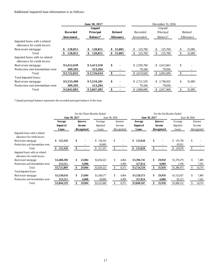## Additional impaired loan information is as follows:

|                                                                |                   | June 30, 2017               |                  | December 31, 2016 |                      |               |           |  |  |
|----------------------------------------------------------------|-------------------|-----------------------------|------------------|-------------------|----------------------|---------------|-----------|--|--|
|                                                                |                   | <b>Unpaid</b>               |                  |                   | Unpaid               |               |           |  |  |
|                                                                | <b>Recorded</b>   | Principal                   | <b>Related</b>   | Recorded          | Principal            |               | Related   |  |  |
|                                                                | <b>Investment</b> | <b>Balance</b> <sup>a</sup> | <b>Allowance</b> | Investment        | Balance <sup>a</sup> |               | Allowance |  |  |
| Impaired loans with a related<br>allowance for credit losses:  |                   |                             |                  |                   |                      |               |           |  |  |
| Real estate mortgage                                           | 120,851           | 120,851                     | 31,005<br>\$     | 125,769<br>\$     | 125,769<br>\$.       | \$            | 31,005    |  |  |
| Total                                                          | 120,851           | 120,851<br>\$               | 31,005<br>\$     | 125,769           | \$<br>125,769        | \$            | 31,005    |  |  |
| Impaired loans with no related<br>allowance for credit losses: |                   |                             |                  |                   |                      |               |           |  |  |
| Real estate mortgage                                           | \$3,412,639       | \$3,413,350                 | \$               | \$2,595,760       | \$ 2,612,663         | \$            |           |  |  |
| Production and intermediate term                               | 309,393           | 313,284                     |                  | 79,160            | 79,036               |               |           |  |  |
| Total                                                          | \$3,722,032       | \$3,726,634                 | \$               | \$2,674,920       | \$ 2,691,699         | $\mathbb{S}$  |           |  |  |
| Total impaired loans:                                          |                   |                             |                  |                   |                      |               |           |  |  |
| Real estate mortgage                                           | \$3,533,490       | \$3,534,201                 | \$               | \$2,721,529       | \$ 2,738,432         | \$            | 31,005    |  |  |
| Production and intermediate term                               | 309,393           | 313,284                     |                  | 79,160            | 79,036               |               |           |  |  |
| Total                                                          | \$3,842,883       | \$3,847,485                 | \$               | \$2,800,689       | 2,817,468<br>\$.     | <sup>\$</sup> | 31,005    |  |  |

<sup>a</sup> Unpaid principal balance represents the recorded principal balance of the loan.

|                                                                |                                                                | For the Three Months Ended | For the Six Months Ended |               |                    |            |                     |                                  |            |                     |                    |            |
|----------------------------------------------------------------|----------------------------------------------------------------|----------------------------|--------------------------|---------------|--------------------|------------|---------------------|----------------------------------|------------|---------------------|--------------------|------------|
|                                                                | June 30, 2017                                                  |                            |                          |               | June 30, 2016      |            |                     | June 30, 2017                    |            | June 30, 2016       |                    |            |
|                                                                | <b>Interest</b><br>Average<br><b>Impaired</b><br><b>Income</b> |                            | Average<br>Impaired      |               | Interest<br>Income |            | Average<br>Impaired | <b>Interest</b><br><b>Income</b> |            | Average<br>Impaired | Interest<br>Income |            |
| Impaired loans with a related<br>allowance for credit losses:  | Loans                                                          |                            | Recognized               | Loans         |                    | Recognized | Loans               |                                  | Recognized | Loans               |                    | Recognized |
| Real estate mortgage                                           | \$<br>122,320                                                  | \$                         |                          | \$134,254     | \$                 |            | \$<br>123,628       | \$                               |            | \$.<br>135,758      | \$                 |            |
| Production and intermediate term                               |                                                                |                            |                          | 83,083        |                    |            |                     |                                  |            | 83,921              |                    |            |
| Total                                                          | 122,320                                                        | \$                         |                          | 217,337<br>\$ | \$                 |            | 123,628             | \$                               |            | \$ 219,679          |                    |            |
| Impaired loans with no related<br>allowance for credit losses: |                                                                |                            |                          |               |                    |            |                     |                                  |            |                     |                    |            |
| Real estate mortgage                                           | \$3,408,298                                                    | \$                         | 23,904                   | \$2,034,323   | \$.                | 4.064      | \$3,396,745         | \$                               | 29,950     | \$1,379,279         | \$                 | 7,409      |
| Production and intermediate term                               | 313,511                                                        |                            | 6,000                    |               |                    | 4,309      | 327,814             |                                  | 6,000      | 1,194               |                    | 7,165      |
| Total                                                          | \$3,721,809                                                    | \$                         | 29,904                   | \$2,034,323   |                    | 8,373      | \$3,724,559         | \$                               | 35,950     | \$1,380,473         |                    | 14,574     |
| Total impaired loans:                                          |                                                                |                            |                          |               |                    |            |                     |                                  |            |                     |                    |            |
| Real estate mortgage                                           | \$3,530,618                                                    | \$                         | 23,904                   | \$2,168,577   | \$                 | 4,064      | \$3,520,373         | \$                               | 29,950     | \$1,515,037         | \$                 | 7,409      |
| Production and intermediate term                               | 313,511                                                        |                            | 6,000                    | 83,083        |                    | 4,309      | 327,814             |                                  | 6,000      | 85,115              |                    | 7,165      |
| Total                                                          | \$3,844,129                                                    |                            | 29,904                   | \$2,251,660   | \$.                | 8,373      | \$3,848,187         |                                  | 35,950     | \$1,600,152         |                    | 14,574     |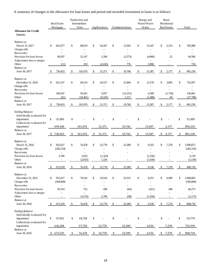A summary of changes in the allowance for loan losses and period end recorded investment in loans is as follows:

|                                                                                                  |      | Real Estate<br>Mortgage           | Production and<br>Intermediate<br>Term | Agribusiness                        | Communications                      | Energy and<br>Water/Waste<br>Water |                           | Rural<br>Residential<br>Real Estate | Total                         |
|--------------------------------------------------------------------------------------------------|------|-----------------------------------|----------------------------------------|-------------------------------------|-------------------------------------|------------------------------------|---------------------------|-------------------------------------|-------------------------------|
| <b>Allowance for Credit</b><br>Losses:                                                           |      |                                   |                                        |                                     |                                     |                                    |                           |                                     |                               |
| Balance at<br>March 31, 2017<br>Charge-offs                                                      | \$   | 661,877                           | \$<br>68,619                           | \$<br>24,347                        | \$<br>13,363                        | \$<br>15,547                       | \$                        | 2,155                               | \$<br>785,908                 |
| Recoveries<br>Provision for loan losses                                                          |      | 68,587                            | 32,147                                 | 1,269                               | L,<br>(3,373)                       | (4,066)                            |                           | 22                                  | 94,586                        |
| Adjustment due to merger<br>Other                                                                |      | (11)                              | $\overline{\phantom{a}}$<br>310        | $\overline{\phantom{a}}$<br>(4,245) | $\qquad \qquad \blacksquare$<br>776 | 3,906                              |                           |                                     | 736                           |
| Balance at<br>June 30, 2017                                                                      | -\$  | 730,453                           | \$<br>101,076                          | \$<br>21,371                        | \$<br>10,766                        | \$<br>15,387                       | \$                        | 2,177                               | \$<br>881,230                 |
| Balance at<br>December 31, 2016<br>Charge-offs<br>Recoveries                                     | \$   | 621,167                           | \$<br>69,216                           | \$<br>24,537                        | \$<br>21,864<br>$\overline{a}$      | \$<br>12,278                       | \$                        | 3,895                               | \$<br>752,957                 |
| Provision for loan losses<br>Other                                                               |      | 109,347<br>(61)                   | 50,261<br>(18, 401)                    | 5,937<br>(9,103)                    | (12, 315)<br>1,217                  | 4,589<br>(1,480)                   |                           | (1,758)<br>40                       | 156,061<br>(27, 788)          |
| Balance at<br>June 30, 2017                                                                      | -S   | 730,453                           | \$<br>101,076                          | \$<br>21,371                        | \$<br>10,766                        | \$<br>15,387                       | \$                        | 2,177                               | \$<br>881,230                 |
| <b>Ending Balance:</b><br>Individually evaluated for<br>impairment<br>Collectively evaluated for | \$   | 31,005                            | \$                                     | \$                                  | \$                                  | \$                                 | \$                        |                                     | \$<br>31,005                  |
| impairment                                                                                       |      | 699,448                           | 101,076                                | 21,371                              | 10,766                              | 15,387                             |                           | 2,177                               | 850,225                       |
| Balance at<br>June 30, 2017                                                                      | \$   | 730,453                           | \$<br>101,076                          | \$<br>21,371                        | \$<br>10,766                        | \$<br>15,387                       | \$                        | 2,177                               | \$<br>881,230                 |
| Balance at<br>March 31, 2016<br>Charge-offs<br>Recoveries                                        | \$   | 952,627<br>(282, 154)             | \$<br>76,478                           | \$<br>22,778                        | \$<br>22,389                        | \$<br>9,322                        | \$                        | 7,278                               | \$<br>1,090,872<br>(282, 154) |
| Provision for loan losses<br>Other                                                               |      | 2,786<br>$\overline{\phantom{a}}$ | 2,033<br>(2,033)                       | (1, 324)<br>1,324                   |                                     | (1,356)<br>(1,430)                 |                           |                                     | 2,139<br>(2,139)              |
| Balance at<br>June 30, 2016                                                                      | - \$ | 673,259                           | \$<br>76,478                           | \$<br>22,778                        | \$<br>22,389                        | \$<br>6,536                        | $\boldsymbol{\mathsf{S}}$ | 7,278                               | \$<br>808,718                 |
| Balance at<br>December 31, 2015<br>Charge-offs<br>Recoveries                                     | \$   | 931,817<br>(304,068)              | \$<br>79,542                           | \$<br>19,524<br>ä,                  | \$<br>22,551<br>L,                  | \$<br>8,251<br>L,<br>L,            | \$                        | 6,998<br>÷,                         | \$<br>1,068,683<br>(304,068)  |
| Provision for loan losses                                                                        |      | 45,510                            | 512                                    | 458                                 | (64)                                | (421)                              |                           | 280                                 | 46,275                        |
| Adjustment due to merger<br>Other<br>Balance at                                                  |      | L,<br>$\overline{\phantom{a}}$    | (3,576)                                | $\overline{\phantom{a}}$<br>2,796   | (98)                                | (1,294)                            |                           | $\overline{\phantom{a}}$            | (2,172)                       |
| June 30, 2016                                                                                    | \$   | 673,259                           | \$<br>76,478                           | \$<br>22,778                        | \$<br>22,389                        | \$<br>6,536                        | \$                        | 7,278                               | \$<br>808,718                 |
| <b>Ending Balance:</b><br>Individually evaluated for<br>impairment<br>Collectively evaluated for | \$   | 37,051                            | \$<br>18,728                           | \$                                  | \$                                  | \$                                 | \$                        |                                     | \$<br>55,779                  |
| impairment                                                                                       |      | 636,208                           | 57,750                                 | 22,778                              | 22,389                              | 6,536                              |                           | 7,278                               | 752,939                       |
| Balance at<br>June 30, 2016                                                                      | \$   | 673,259                           | \$<br>76,478                           | \$<br>22,778                        | \$<br>22,389                        | \$<br>6,536                        | \$                        | 7,278                               | \$<br>808,718                 |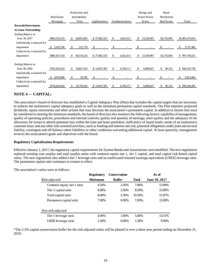|                             |                    | Production and   |              |                 | Energy and        | Rural        |                   |
|-----------------------------|--------------------|------------------|--------------|-----------------|-------------------|--------------|-------------------|
|                             | <b>Real Estate</b> | Intermediate     |              |                 | Water/Waste       | Residential  |                   |
|                             | Mortgage           | Term             | Agribusiness | Communications  | Water             | Real Estate  | Total             |
| <b>Recorded Investments</b> |                    |                  |              |                 |                   |              |                   |
| in Loans Outstanding:       |                    |                  |              |                 |                   |              |                   |
| Ending Balance at           |                    |                  |              |                 |                   |              |                   |
| June 30, 2017               | \$885,353,216      | 68,831,003<br>S  | \$27,802,323 | \$<br>4,421,611 | 12,329,907<br>\$. | \$2,735,956  | \$1,001,474,016   |
| Individually evaluated for  |                    |                  |              |                 |                   |              |                   |
| impairment                  | 3,425,706          | 311,779<br>\$.   | \$           |                 |                   |              | 3,737,485         |
| Collectively evaluated for  |                    |                  |              |                 |                   |              |                   |
| impairment                  | \$881,927,510      | 68,519,224<br>-S | \$27,802,323 | \$<br>4,421,611 | 12,329,907<br>\$  | \$2,735,956  | 997,736,531<br>\$ |
|                             |                    |                  |              |                 |                   |              |                   |
| Ending Balance at           |                    |                  |              |                 |                   |              |                   |
| June 30, 2016               | \$761,823,622      | 54,827,419<br>S. | \$14,067,393 | \$<br>6,764,117 | 6,609,027<br>\$   | \$<br>90,152 | 844,181,730<br>\$ |
| Individually evaluated for  |                    |                  |              |                 |                   |              |                   |
| impairment                  | 4,979,680          | 33,765<br>\$.    | \$           |                 |                   |              | 5,013,445         |
| Collectively evaluated for  |                    |                  |              |                 |                   |              |                   |
| impairment                  | \$756,843,942      | 54,793,654<br>£. | \$14,067,393 | 6,764,117<br>\$ | 6,609,027<br>\$.  | \$<br>90,152 | 839,168,285<br>\$ |
|                             |                    |                  |              |                 |                   |              |                   |

## **NOTE 4 –– CAPITAL:**

The association's board of directors has established a Capital Adequacy Plan (Plan) that includes the capital targets that are necessary to achieve the institution's capital adequacy goals as well as the minimum permanent capital standards. The Plan monitors projected dividends, equity retirements and other actions that may decrease the association's permanent capital. In addition to factors that must be considered in meeting the minimum standards, the board of directors also monitors the following factors: capability of management; quality of operating policies, procedures and internal controls; quality and quantity of earnings; asset quality and the adequacy of the allowance for losses to absorb potential loss within the loan and lease portfolios; sufficiency of liquid funds; needs of an institution's customer base; and any other risk-oriented activities, such as funding and interest rate risk, potential obligations under joint and several liability, contingent and off-balance-sheet liabilities or other conditions warranting additional capital. At least quarterly, management reviews the association's goals and objectives with the board.

#### **Regulatory Capitalization Requirements**

Effective January 1, 2017, the regulatory capital requirements for System Banks and Associations were modified. The new regulations replaced existing core surplus and total surplus ratios with common equity tier 1, tier 1 capital, and total capital risk-based capital ratios. The new regulations also added a tier 1 leverage ratio and an unallocated retained earnings equivalents (UREE) leverage ratio. The permanent capital ratio continues to remain in effect.

|                            | <b>Regulatory</b> | <b>Conservation</b> |              | As of         |
|----------------------------|-------------------|---------------------|--------------|---------------|
| Risk-adjusted:             | <b>Minimums</b>   | <b>Buffer</b>       | <b>Total</b> | June 30, 2017 |
| Common equity tier 1 ratio | 4.50%             | 2.50%               | 7.00%        | 13.89%        |
| Tier 1 capital ratio       | 6.00%             | 2.50%               | 8.50%        | 13.89%        |
| Total capital ratio        | 8.00%             | 2.50%               | 10.50%       | 13.97%        |
| Permanent capital ratio    | 7.00%             | $0.00\%$            | 7.00%        | 13.90%        |
| Non-risk-adjusted:         |                   |                     |              |               |
| Tier 1 leverage ratio      | 4.00%             | 1.00%               | 5.00%        | 13.15%        |
| UREE leverage ratio        | 1.50%             | $0.00\%$            | 1.50%        | 9.99%         |

The association's ratios were as follows:

\*The 2.5% capital conservation buffer for the risk-adjusted ratios will be phased in over a three year period ending on December 31, 2019.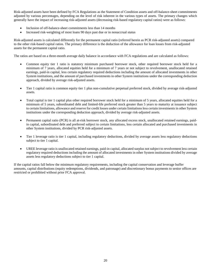Risk-adjusted assets have been defined by FCA Regulations as the Statement of Condition assets and off-balance-sheet commitments adjusted by various percentages, depending on the level of risk inherent in the various types of assets. The primary changes which generally have the impact of increasing risk-adjusted assets (decreasing risk-based regulatory capital ratios) were as follows:

- Inclusion of off-balance-sheet commitments less than 14 months
- Increased risk-weighting of most loans 90 days past due or in nonaccrual status

Risk-adjusted assets is calculated differently for the permanent capital ratio (referred herein as PCR risk-adjusted assets) compared to the other risk-based capital ratios. The primary difference is the deduction of the allowance for loan losses from risk-adjusted assets for the permanent capital ratio.

The ratios are based on a three-month average daily balance in accordance with FCA regulations and are calculated as follows:

- Common equity tier 1 ratio is statutory minimum purchased borrower stock, other required borrower stock held for a minimum of 7 years, allocated equities held for a minimum of 7 years or not subject to revolvement, unallocated retained earnings, paid-in capital, less certain regulatory required deductions including the amount of allocated investments in other System institutions, and the amount of purchased investments in other System institutions under the corresponding deduction approach, divided by average risk-adjusted assets.
- Tier 1 capital ratio is common equity tier 1 plus non-cumulative perpetual preferred stock, divided by average risk-adjusted assets.
- Total capital is tier 1 capital plus other required borrower stock held for a minimum of 5 years, allocated equities held for a minimum of 5 years, subordinated debt and limited-life preferred stock greater than 5 years to maturity at issuance subject to certain limitations, allowance and reserve for credit losses under certain limitations less certain investments in other System institutions under the corresponding deduction approach, divided by average risk-adjusted assets.
- Permanent capital ratio (PCR) is all at-risk borrower stock, any allocated excess stock, unallocated retained earnings, paidin capital, subordinated debt and preferred subject to certain limitations, less certain allocated and purchased investments in other System institutions, divided by PCR risk-adjusted assets.
- Tier 1 leverage ratio is tier 1 capital, including regulatory deductions, divided by average assets less regulatory deductions subject to tier 1 capital.
- UREE leverage ratio is unallocated retained earnings, paid-in capital, allocated surplus not subject to revolvement less certain regulatory required deductions including the amount of allocated investments in other System institutions divided by average assets less regulatory deductions subject to tier 1 capital.

If the capital ratios fall below the minimum regulatory requirements, including the capital conservation and leverage buffer amounts, capital distributions (equity redemptions, dividends, and patronage) and discretionary bonus payments to senior offices are restricted or prohibited without prior FCA approval.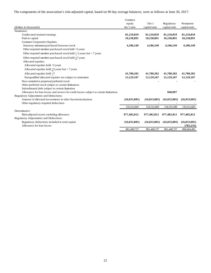The components of the association's risk-adjusted capital, based on 90 day average balances, were as follows at June 30, 2017:

|                                                                                        | Common         |                |                |                |
|----------------------------------------------------------------------------------------|----------------|----------------|----------------|----------------|
|                                                                                        | equity         | Tier 1         | Regulatory     | Permanent      |
| (dollars in thousands)                                                                 | tier 1 ratio   | capital ratio  | capital ratio  | capital ratio  |
| Numerator:                                                                             |                |                |                |                |
| Unallocated retained earnings                                                          | 81,210,859     | 81,210,859     | 81,210,859     | 81,210,859     |
| Paid-in capital                                                                        | 10,238,891     | 10,238,891     | 10,238,891     | 10,238,891     |
| Common Cooperative Equities:                                                           |                |                |                |                |
| Statutory minimum purchased borrower stock                                             | 4,186,549      | 4,186,549      | 4,186,549      | 4,186,549      |
| Other required member purchased stock held <5 years                                    |                |                |                |                |
| Other required member purchased stock held $>$ 5 years but < 7 years                   |                |                |                |                |
| Other required member purchased stock held >7 years                                    |                |                |                |                |
| Allocated equities:                                                                    |                |                |                |                |
| Allocated equities held $\leq$ years                                                   |                |                |                |                |
| Allocated equities held $>5$ years but < 7 years                                       |                |                |                |                |
| Allocated equities held $>7$                                                           | 41,780,282     | 41,780,282     | 41,780,282     | 41,780,282     |
| Nonqualified allocated equities not subject to retirement                              | 12,129,107     | 12,129,107     | 12,129,107     | 12,129,107     |
| Non-cumulative perpetual preferred stock                                               |                |                |                |                |
| Other preferred stock subject to certain limitations                                   |                |                |                |                |
| Subordinated debt subject to certain limitation                                        |                |                |                |                |
| Allowance for loan losses and reserve for credit losses subject to certain limitations |                |                | 840,897        |                |
| Regulatory Adjustments and Deductions:                                                 |                |                |                |                |
| Amount of allocated investments in other System institutions                           | (16, 033, 085) | (16, 033, 085) | (16, 033, 085) | (16, 033, 085) |
| Other regulatory required deductions                                                   |                |                |                |                |
|                                                                                        | 133,512,603    | 133,512,603    | 134,353,500    | 133,512,603    |
| Denominator:                                                                           |                |                |                |                |
| Risk-adjusted assets excluding allowance                                               | 977,482,812    | 977,482,812    | 977,482,812    | 977,482,812    |
| Regulatory Adjustments and Deductions:                                                 |                |                |                |                |
| Regulatory deductions included in total capital                                        | (16, 033, 085) | (16, 033, 085) | (16, 033, 085) | (16, 033, 085) |
| Allowance for loan losses                                                              |                |                |                | (785, 235)     |
|                                                                                        | 961,449,727    | 961,449,727    | 961,449,727    | 960,664,492    |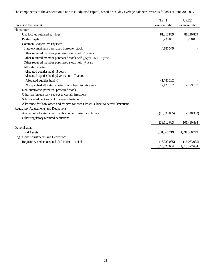The components of the association's non-risk-adjusted capital, based on 90 day average balances, were as follows at June 30, 2017:

|                                                                                        | Tier 1         | <b>UREE</b>    |
|----------------------------------------------------------------------------------------|----------------|----------------|
| (dollars in thousands)                                                                 | leverage ratio | leverage ratio |
| Numerator:                                                                             |                |                |
| Unallocated retained earnings                                                          | 81,210,859     | 81,210,859     |
| Paid-in capital                                                                        | 10,238,891     | 10,238,891     |
| Common Cooperative Equities:                                                           |                |                |
| Statutory minimum purchased borrower stock                                             | 4,186,549      |                |
| Other required member purchased stock held $\leq$ years                                |                |                |
| Other required member purchased stock held $>$ 5 years but < 7 years                   |                |                |
| Other required member purchased stock held >7 years                                    |                |                |
| Allocated equities:                                                                    |                |                |
| Allocated equities held $\leq$ years                                                   |                |                |
| Allocated equities held $\geq$ 5 years but < 7 years                                   |                |                |
| Allocated equities held >7                                                             | 41,780,282     |                |
| Nonqualified allocated equities not subject to retirement                              | 12,129,107     | 12,129,107     |
| Non-cumulative perpetual preferred stock                                               |                |                |
| Other preferred stock subject to certain limitations                                   |                |                |
| Subordinated debt subject to certain limitation                                        |                |                |
| Allowance for loan losses and reserve for credit losses subject to certain limitations |                |                |
| Regulatory Adjustments and Deductions:                                                 |                |                |
| Amount of allocated investments in other System institutions                           | (16,033,085)   | (2,148,363)    |
| Other regulatory required deductions                                                   |                |                |
|                                                                                        | 133,512,603    | 101,430,494    |
| Denominator:                                                                           |                |                |
| <b>Total Assets</b>                                                                    | 1,031,360,719  | 1,031,360,719  |
| Regulatory Adjustments and Deductions:                                                 |                |                |
| Regulatory deductions included in tier 1 capital                                       | (16,033,085)   | (16,033,085)   |
|                                                                                        | 1,015,327,634  | 1,015,327,634  |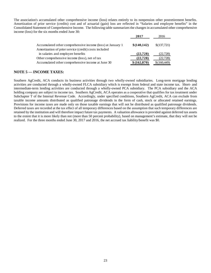The association's accumulated other comprehensive income (loss) relates entirely to its nonpension other postretirement benefits. Amortization of prior service (credits) cost and of actuarial (gain) loss are reflected in "Salaries and employee benefits" in the Consolidated Statement of Comprehensive Income. The following table summarizes the changes in accumulated other comprehensive income (loss) for the six months ended June 30:

|                                                            | 2017         | 2016        |
|------------------------------------------------------------|--------------|-------------|
| Accumulated other comprehensive income (loss) at January 1 | \$(140, 142) | \$(137,721) |
| Amortization of prior service (credit) costs included      |              |             |
| in salaries and employee benefits                          | (22, 728)    | (22, 728)   |
| Other comprehensive income (loss), net of tax              | (22, 728)    | (22, 728)   |
| Accumulated other comprehensive income at June 30          | \$(162,870)  | \$(160,449) |

## **NOTE 5 — INCOME TAXES:**

Southern AgCredit, ACA conducts its business activities through two wholly-owned subsidiaries. Long-term mortgage lending activities are conducted through a wholly-owned FLCA subsidiary which is exempt from federal and state income tax. Short- and intermediate-term lending activities are conducted through a wholly-owned PCA subsidiary. The PCA subsidiary and the ACA holding company are subject to income tax. Southern AgCredit, ACA operates as a cooperative that qualifies for tax treatment under Subchapter T of the Internal Revenue Code. Accordingly, under specified conditions, Southern AgCredit, ACA can exclude from taxable income amounts distributed as qualified patronage dividends in the form of cash, stock or allocated retained earnings. Provisions for income taxes are made only on those taxable earnings that will not be distributed as qualified patronage dividends. Deferred taxes are recorded at the tax effect of all temporary differences based on the assumption that such temporary differences are retained by the institution and will therefore impact future tax payments. A valuation allowance is provided against deferred tax assets to the extent that it is more likely than not (more than 50 percent probability), based on management's estimate, that they will not be realized. For the three months ended June 30, 2017 and 2016, the net accrued tax liability/benefit was \$0.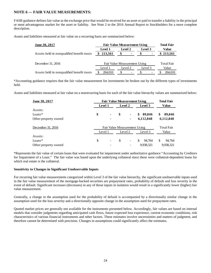## **NOTE 6 — FAIR VALUE MEASUREMENTS:**

FASB guidance defines fair value as the exchange price that would be received for an asset or paid to transfer a liability in the principal or most advantageous market for the asset or liability. See Note 2 to the 2016 Annual Report to Stockholders for a more complete description.

Assets and liabilities measured at fair value on a recurring basis are summarized below:

| June 30, 2017                              | <b>Fair Value Measurement Using</b> | <b>Total Fair</b>    |                   |           |
|--------------------------------------------|-------------------------------------|----------------------|-------------------|-----------|
|                                            | Level 1                             | Level 2              | Level 3           | Value     |
| Assets held in nonqualified benefit trusts | \$213,561                           | \$<br>$\blacksquare$ |                   | \$213,561 |
| December 31, 2016                          | Fair Value Measurement Using        |                      | <b>Total Fair</b> |           |
|                                            | Level 1                             | Level 2              | Level 3           | Value     |
| Assets held in nonqualified benefit trusts | 204,010                             |                      |                   | 204,010   |

\*Accounting guidance requires that the fair value measurement for investments be broken out by the different types of investments held.

Assets and liabilities measured at fair value on a nonrecurring basis for each of the fair value hierarchy values are summarized below:

| June 30, 2017        |                              | <b>Fair Value Measurement Using</b> |    |                              |                   | <b>Total Fair</b> |
|----------------------|------------------------------|-------------------------------------|----|------------------------------|-------------------|-------------------|
|                      | Level 2<br>Level 1           |                                     |    | Level 3                      | Value             |                   |
| Assets:              |                              |                                     |    |                              |                   |                   |
| Loans $*$            | \$                           | ٠                                   | \$ | ۰                            | 89,846<br>S.      | \$<br>89,846      |
| Other property owned |                              | ۰                                   |    | ٠                            | 6,112,848         | 6,112,848         |
| December 31, 2016    | Fair Value Measurement Using |                                     |    |                              | <b>Total Fair</b> |                   |
|                      |                              | Level 1                             |    | Level 2                      | Level 3           | Value             |
| Assets:              |                              |                                     |    |                              |                   |                   |
| $Loans*$             | \$                           | $\overline{\phantom{a}}$            | \$ | $\qquad \qquad \blacksquare$ | S<br>94.764       | \$<br>94,764      |
| Other property owned |                              |                                     |    |                              | 9,938,321         | 9,938,321         |

\*Represents the fair value of certain loans that were evaluated for impairment under authoritative guidance "Accounting by Creditors for Impairment of a Loan." The fair value was based upon the underlying collateral since these were collateral-dependent loans for which real estate is the collateral.

#### **Sensitivity to Changes in Significant Unobservable Inputs**

For recurring fair value measurements categorized within Level 3 of the fair value hierarchy, the significant unobservable inputs used in the fair value measurement of the mortgage-backed securities are prepayment rates, probability of default and loss severity in the event of default. Significant increases (decreases) in any of those inputs in isolation would result in a significantly lower (higher) fair value measurement.

Generally, a change in the assumption used for the probability of default is accompanied by a directionally similar change in the assumption used for the loss severity and a directionally opposite change in the assumption used for prepayment rates.

Quoted market prices are generally not available for the instruments presented below. Accordingly, fair values are based on internal models that consider judgments regarding anticipated cash flows, future expected loss experience, current economic conditions, risk characteristics of various financial instruments and other factors. These estimates involve uncertainties and matters of judgment, and therefore cannot be determined with precision. Changes in assumptions could significantly affect the estimates.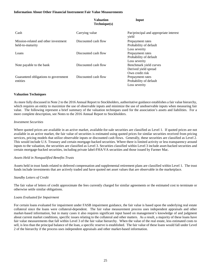#### **Information About Other Financial Instrument Fair Value Measurements**

|                                                          | у аніанон<br>Technique(s) | mpur                                                              |
|----------------------------------------------------------|---------------------------|-------------------------------------------------------------------|
| Cash                                                     | Carrying value            | Par/principal and appropriate interest<br>yield                   |
| Mission-related and other investment<br>held-to-maturity | Discounted cash flow      | Prepayment rates<br>Probability of default<br>Loss severity       |
| Loans                                                    | Discounted cash flow      | Prepayment rates<br>Probability of default<br>Loss severity       |
| Note payable to the bank                                 | Discounted cash flow      | Benchmark yield curves<br>Derived yield spread<br>Own credit risk |
| Guaranteed obligations to government<br>entities         | Discounted cash flow      | Prepayment rates<br>Probability of default<br>Loss severity       |

**Valuation** 

**Input**

#### **Valuation Techniques**

As more fully discussed in Note 2 to the 2016 Annual Report to Stockholders, authoritative guidance establishes a fair value hierarchy, which requires an entity to maximize the use of observable inputs and minimize the use of unobservable inputs when measuring fair value. The following represent a brief summary of the valuation techniques used for the association's assets and liabilities. For a more complete description, see Notes to the 2016 Annual Report to Stockholders.

#### *Investment Securities*

Where quoted prices are available in an active market, available-for-sale securities are classified as Level 1. If quoted prices are not available in an active market, the fair value of securities is estimated using quoted prices for similar securities received from pricing services, pricing models that utilize observable inputs or discounted cash flows. Generally, these securities are classified as Level 2. This would include U.S. Treasury and certain mortgage-backed securities. Where there is limited activity or less transparency around inputs to the valuation, the securities are classified as Level 3. Securities classified within Level 3 include asset-backed securities and certain mortgage-backed securities, including private label-FHA/VA securities and those issued by Farmer Mac.

#### *Assets Held in Nonqualified Benefits Trusts*

Assets held in trust funds related to deferred compensation and supplemental retirement plans are classified within Level 1. The trust funds include investments that are actively traded and have quoted net asset values that are observable in the marketplace.

#### *Standby Letters of Credit*

The fair value of letters of credit approximate the fees currently charged for similar agreements or the estimated cost to terminate or otherwise settle similar obligations.

#### *Loans Evaluated for Impairment*

For certain loans evaluated for impairment under FASB impairment guidance, the fair value is based upon the underlying real estate collateral since the loans were collateral-dependent. The fair value measurement process uses independent appraisals and other market-based information, but in many cases it also requires significant input based on management's knowledge of and judgment about current market conditions, specific issues relating to the collateral and other matters. As a result, a majority of these loans have fair value measurements that fall within Level 3 of the fair value hierarchy. When the value of the real estate, less estimated costs to sell, is less than the principal balance of the loan, a specific reserve is established. The fair value of these loans would fall under Level 2 of the hierarchy if the process uses independent appraisals and other market-based information.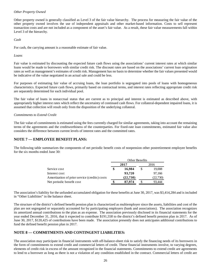#### *Other Property Owned*

Other property owned is generally classified as Level 3 of the fair value hierarchy. The process for measuring the fair value of the other property owned involves the use of independent appraisals and other market-based information. Costs to sell represent transaction costs and are not included as a component of the asset's fair value. As a result, these fair value measurements fall within Level 3 of the hierarchy.

*Cash* 

For cash, the carrying amount is a reasonable estimate of fair value.

#### *Loans*

Fair value is estimated by discounting the expected future cash flows using the associations' current interest rates at which similar loans would be made to borrowers with similar credit risk. The discount rates are based on the associations' current loan origination rates as well as management's estimates of credit risk. Management has no basis to determine whether the fair values presented would be indicative of the value negotiated in an actual sale and could be less.

For purposes of estimating fair value of accruing loans, the loan portfolio is segregated into pools of loans with homogeneous characteristics. Expected future cash flows, primarily based on contractual terms, and interest rates reflecting appropriate credit risk are separately determined for each individual pool.

The fair value of loans in nonaccrual status that are current as to principal and interest is estimated as described above, with appropriately higher interest rates which reflect the uncertainty of continued cash flows. For collateral-dependent impaired loans, it is assumed that collection will result only from the disposition of the underlying collateral.

#### *Commitments to Extend Credit*

The fair value of commitments is estimated using the fees currently charged for similar agreements, taking into account the remaining terms of the agreements and the creditworthiness of the counterparties. For fixed-rate loan commitments, estimated fair value also considers the difference between current levels of interest rates and the committed rates.

## **NOTE 7 — EMPLOYEE BENEFIT PLANS:**

The following table summarizes the components of net periodic benefit costs of nonpension other postretirement employee benefits for the six months ended June 30:

|                                               | Other Benefits |          |      |          |
|-----------------------------------------------|----------------|----------|------|----------|
|                                               | 2017           |          | 2016 |          |
| Service cost                                  | \$             | 16,984   |      | 19,008   |
| Interest cost                                 |                | 93,720   |      | 97,166   |
| Amortization of prior service (credits) costs |                | (22,730) |      | (22,730) |
| Net periodic benefit cost                     |                | 87.974   |      | 93.444   |

The association's liability for the unfunded accumulated obligation for these benefits at June 30, 2017, was \$3,414,284 and is included in "Other Liabilities" in the balance sheet.

The structure of the district's defined benefit pension plan is characterized as multiemployer since the assets, liabilities and cost of the plan are not segregated or separately accounted for by participating employers (bank and associations). The association recognizes its amortized annual contributions to the plan as an expense. The association previously disclosed in its financial statements for the year ended December 31, 2016, that it expected to contribute \$191,558 to the district's defined benefit pension plan in 2017. As of June 30, 2017, \$120,425 of contributions have been made. The association presently does not anticipates additional contributions to fund the defined benefit pension plan in 2017.

## **NOTE 8 — COMMITMENTS AND CONTINGENT LIABILITIES:**

The association may participate in financial instruments with off-balance-sheet risk to satisfy the financing needs of its borrowers in the form of commitments to extend credit and commercial letters of credit. These financial instruments involve, to varying degrees, elements of credit risk in excess of the amount recognized in the financial statements. Commitments to extend credit are agreements to lend to a borrower as long as there is not a violation of any condition established in the contract. Commercial letters of credit are